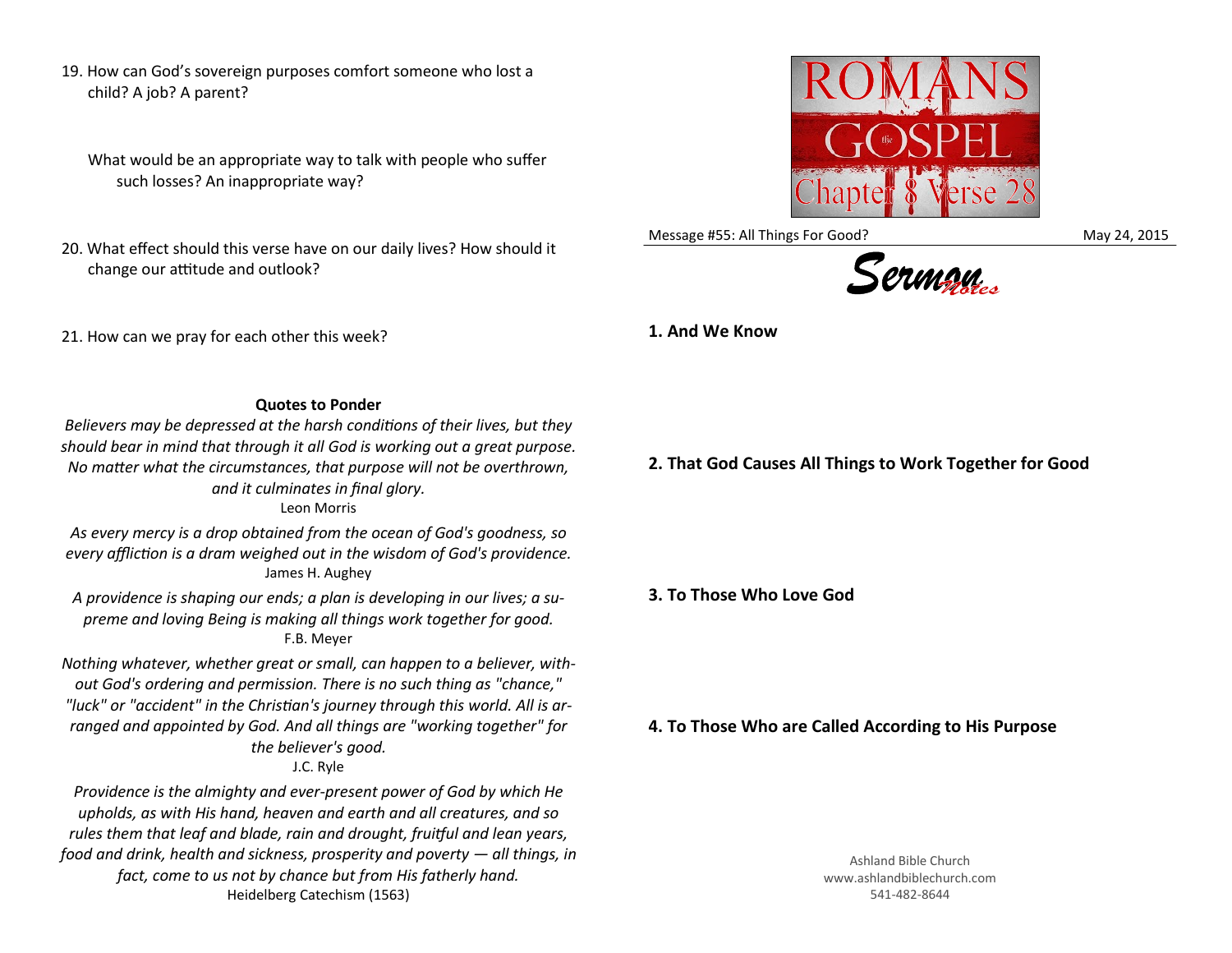19. How can God's sovereign purposes comfort someone who lost a child? A job? A parent?

What would be an appropriate way to talk with people who suffer such losses? An inappropriate way?

20. What effect should this verse have on our daily lives? How should it change our attitude and outlook?

21. How can we pray for each other this week?

Message #55: All Things For Good? May 24, 2015



**1. And We Know**

## **Quotes to Ponder**

*Believers may be depressed at the harsh conditions of their lives, but they should bear in mind that through it all God is working out a great purpose. No matter what the circumstances, that purpose will not be overthrown, and it culminates in final glory.*

Leon Morris

*As every mercy is a drop obtained from the ocean of God's goodness, so every affliction is a dram weighed out in the wisdom of God's providence.* James H. Aughey

*A providence is shaping our ends; a plan is developing in our lives; a supreme and loving Being is making all things work together for good.* F.B. Meyer

*Nothing whatever, whether great or small, can happen to a believer, without God's ordering and permission. There is no such thing as "chance," "luck" or "accident" in the Christian's journey through this world. All is arranged and appointed by God. And all things are "working together" for the believer's good.*

## J.C. Ryle

*Providence is the almighty and ever-present power of God by which He upholds, as with His hand, heaven and earth and all creatures, and so rules them that leaf and blade, rain and drought, fruitful and lean years, food and drink, health and sickness, prosperity and poverty — all things, in fact, come to us not by chance but from His fatherly hand.* Heidelberg Catechism (1563)

**2. That God Causes All Things to Work Together for Good**

**3. To Those Who Love God**

**4. To Those Who are Called According to His Purpose**

Ashland Bible Church www.ashlandbiblechurch.com 541-482-8644